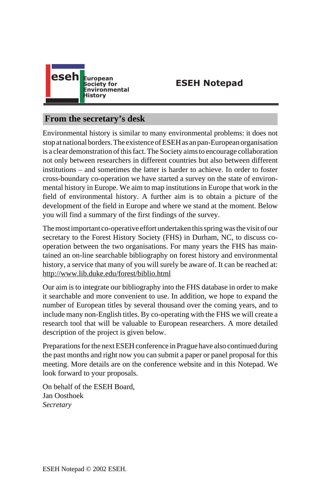

**ESEH Notepad**

# **From the secretary's desk**

Environmental history is similar to many environmental problems: it does not stop at national borders. The existence of ESEH as an pan-European organisation is a clear demonstration of this fact. The Society aims to encourage collaboration not only between researchers in different countries but also between different institutions – and sometimes the latter is harder to achieve. In order to foster [cross-boundary co-operation we have starte](http://www.lib.duke.edu/forest/biblio.html)d a survey on the state of environmental history in Europe. We aim to map institutions in Europe that work in the field of environmental history. A further aim is to obtain a picture of the development of the field in Europe and where we stand at the moment. Below you will find a summary of the first findings of the survey.

The most important co-operative effort undertaken this spring was the visit of our secretary to the Forest History Society (FHS) in Durham, NC, to discuss cooperation between the two organisations. For many years the FHS has maintained an on-line searchable bibliography on forest history and environmental history, a service that many of you will surely be aware of. It can be reached at: http://www.lib.duke.edu/forest/biblio.html

Our aim is to integrate our bibliography into the FHS database in order to make it searchable and more convenient to use. In addition, we hope to expand the number of European titles by several thousand over the coming years, and to include many non-English titles. By co-operating with the FHS we will create a research tool that will be valuable to European researchers. A more detailed description of the project is given below.

Preparations for the next ESEH conference in Prague have also continued during the past months and right now you can submit a paper or panel proposal for this meeting. More details are on the conference website and in this Notepad. We look forward to your proposals.

On behalf of the ESEH Board, Jan Oosthoek *Secretary*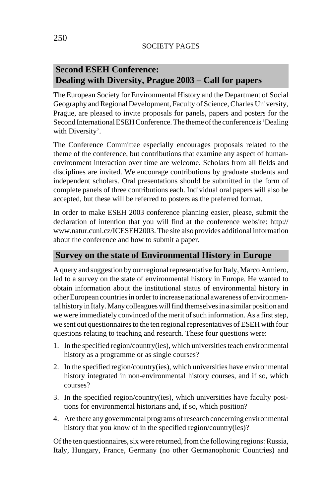## SOCIETY PAGES

# **Second ESEH Conference: Dealing with Diversity, Prague 2003 – Call for papers**

The European Society for Environmental History and the Department of Social Geography and Regional Development, Faculty of Science, Charles University, Prague, are pleased to invite proposals for panels, papers and posters for the Second International ESEH Conference. The theme of the conference is 'D[ealing](http://www.natur.cuni.cz/ICESEH2003) [with Diversity'.](http://www.natur.cuni.cz/ICESEH2003)

The Conference Committee especially encourages proposals related to the theme of the conference, but contributions that examine any aspect of humanenvironment interaction over time are welcome. Scholars from all fields and disciplines are invited. We encourage contributions by graduate students and independent scholars. Oral presentations should be submitted in the form of complete panels of three contributions each. Individual oral papers will also be accepted, but these will be referred to posters as the preferred format.

In order to make ESEH 2003 conference planning easier, please, submit the declaration of intention that you will find at the conference website: http:// www.natur.cuni.cz/ICESEH2003. The site also provides additional information about the conference and how to submit a paper.

# **Survey on the state of Environmental History in Europe**

A query and suggestion by our regional representative for Italy, Marco Armiero, led to a survey on the state of environmental history in Europe. He wanted to obtain information about the institutional status of environmental history in other European countries in order to increase national awareness of environmental history in Italy. Many colleagues will find themselves in a similar position and we were immediately convinced of the merit of such information. As a first step, we sent out questionnaires to the ten regional representatives of ESEH with four questions relating to teaching and research. These four questions were:

- 1. In the specified region/country(ies), which universities teach environmental history as a programme or as single courses?
- 2. In the specified region/country(ies), which universities have environmental history integrated in non-environmental history courses, and if so, which courses?
- 3. In the specified region/country(ies), which universities have faculty positions for environmental historians and, if so, which position?
- 4. Are there any governmental programs of research concerning environmental history that you know of in the specified region/country(ies)?

Of the ten questionnaires, six were returned, from the following regions: Russia, Italy, Hungary, France, Germany (no other Germanophonic Countries) and

250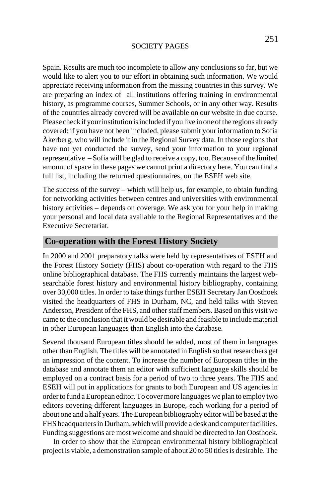#### SOCIETY PAGES

Spain. Results are much too incomplete to allow any conclusions so far, but we would like to alert you to our effort in obtaining such information. We would appreciate receiving information from the missing countries in this survey. We are preparing an index of all institutions offering training in environmental history, as programme courses, Summer Schools, or in any other way. Results of the countries already covered will be available on our website in due course. Please check if your institution is included if you live in one of the regions already covered: if you have not been included, please submit your information to Sofia Åkerberg, who will include it in the Regional Survey data. In those regions that have not yet conducted the survey, send your information to your regional representative – Sofia will be glad to receive a copy, too. Because of the limited amount of space in these pages we cannot print a directory here. You can find a full list, including the returned questionnaires, on the ESEH web site.

The success of the survey – which will help us, for example, to obtain funding for networking activities between centres and universities with environmental history activities – depends on coverage. We ask you for your help in making your personal and local data available to the Regional Representatives and the Executive Secretariat.

# **Co-operation with the Forest History Society**

In 2000 and 2001 preparatory talks were held by representatives of ESEH and the Forest History Society (FHS) about co-operation with regard to the FHS online bibliographical database. The FHS currently maintains the largest websearchable forest history and environmental history bibliography, containing over 30,000 titles. In order to take things further ESEH Secretary Jan Oosthoek visited the headquarters of FHS in Durham, NC, and held talks with Steven Anderson, President of the FHS, and other staff members. Based on this visit we came to the conclusion that it would be desirable and feasible to include material in other European languages than English into the database.

Several thousand European titles should be added, most of them in languages other than English. The titles will be annotated in English so that researchers get an impression of the content. To increase the number of European titles in the database and annotate them an editor with sufficient language skills should be employed on a contract basis for a period of two to three years. The FHS and ESEH will put in applications for grants to both European and US agencies in order to fund a European editor. To cover more languages we plan to employ two editors covering different languages in Europe, each working for a period of about one and a half years. The European bibliography editor will be based at the FHS headquarters in Durham, which will provide a desk and computer facilities. Funding suggestions are most welcome and should be directed to Jan Oosthoek.

In order to show that the European environmental history bibliographical project is viable, a demonstration sample of about 20 to 50 titles is desirable. The